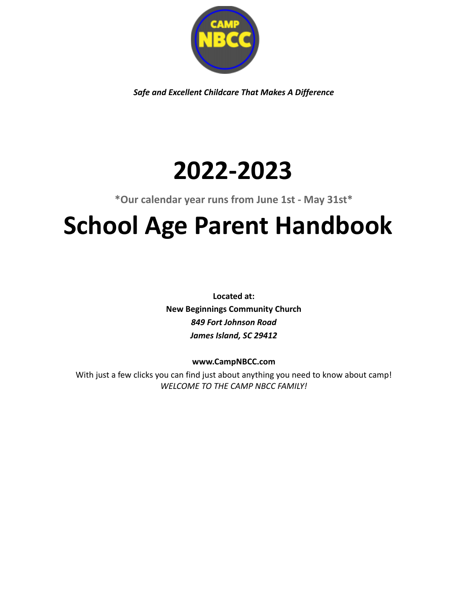

*Safe and Excellent Childcare That Makes A Difference*

# **2022-2023**

**\*Our calendar year runs from June 1st - May 31st\***

# **School Age Parent Handbook**

**Located at: New Beginnings Community Church** *849 Fort Johnson Road James Island, SC 29412*

# **www.CampNBCC.com**

With just a few clicks you can find just about anything you need to know about camp! *WELCOME TO THE CAMP NBCC FAMILY!*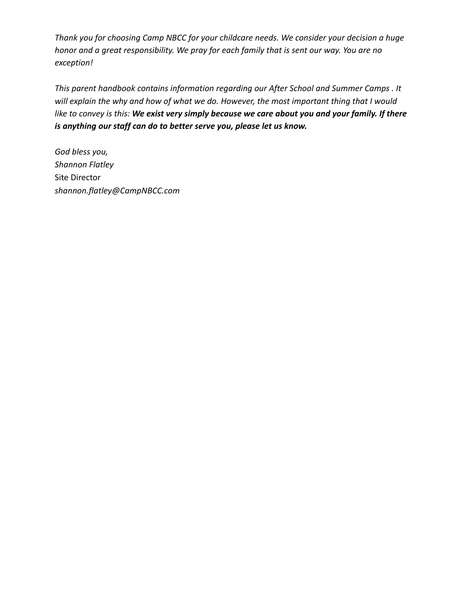*Thank you for choosing Camp NBCC for your childcare needs. We consider your decision a huge honor and a great responsibility. We pray for each family that is sent our way. You are no exception!*

*This parent handbook contains information regarding our After School and Summer Camps . It will explain the why and how of what we do. However, the most important thing that I would like to convey is this: We exist very simply because we care about you and your family. If there is anything our staff can do to better serve you, please let us know.*

*God bless you, Shannon Flatley* Site Director *shannon.flatley@CampNBCC.com*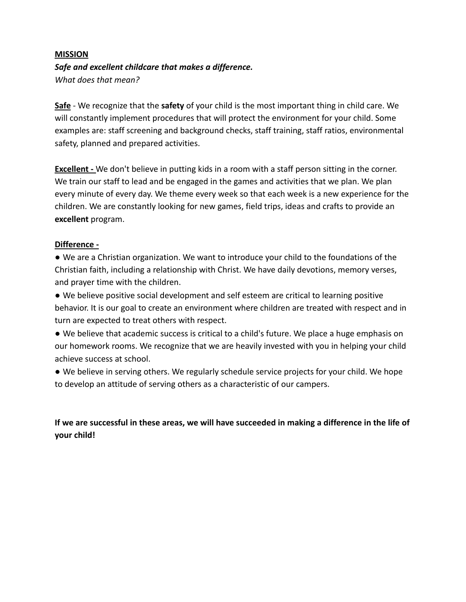# **MISSION** *Safe and excellent childcare that makes a difference. What does that mean?*

**Safe** - We recognize that the **safety** of your child is the most important thing in child care. We will constantly implement procedures that will protect the environment for your child. Some examples are: staff screening and background checks, staff training, staff ratios, environmental safety, planned and prepared activities.

**Excellent** - We don't believe in putting kids in a room with a staff person sitting in the corner. We train our staff to lead and be engaged in the games and activities that we plan. We plan every minute of every day. We theme every week so that each week is a new experience for the children. We are constantly looking for new games, field trips, ideas and crafts to provide an **excellent** program.

#### **Difference -**

● We are a Christian organization. We want to introduce your child to the foundations of the Christian faith, including a relationship with Christ. We have daily devotions, memory verses, and prayer time with the children.

● We believe positive social development and self esteem are critical to learning positive behavior. It is our goal to create an environment where children are treated with respect and in turn are expected to treat others with respect.

● We believe that academic success is critical to a child's future. We place a huge emphasis on our homework rooms. We recognize that we are heavily invested with you in helping your child achieve success at school.

● We believe in serving others. We regularly schedule service projects for your child. We hope to develop an attitude of serving others as a characteristic of our campers.

**If we are successful in these areas, we will have succeeded in making a difference in the life of your child!**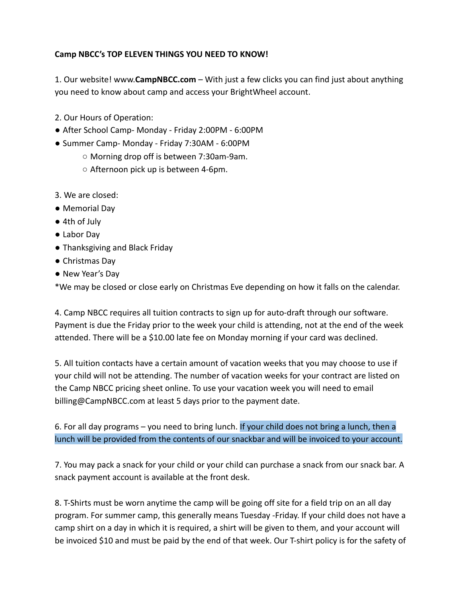## **Camp NBCC's TOP ELEVEN THINGS YOU NEED TO KNOW!**

1. Our website! www.**CampNBCC.com** – With just a few clicks you can find just about anything you need to know about camp and access your BrightWheel account.

- 2. Our Hours of Operation:
- After School Camp- Monday Friday 2:00PM 6:00PM
- Summer Camp- Monday Friday 7:30AM 6:00PM
	- Morning drop off is between 7:30am-9am.
	- Afternoon pick up is between 4-6pm.
- 3. We are closed:
- Memorial Day
- 4th of July
- Labor Day
- Thanksgiving and Black Friday
- Christmas Day
- New Year's Day

\*We may be closed or close early on Christmas Eve depending on how it falls on the calendar.

4. Camp NBCC requires all tuition contracts to sign up for auto-draft through our software. Payment is due the Friday prior to the week your child is attending, not at the end of the week attended. There will be a \$10.00 late fee on Monday morning if your card was declined.

5. All tuition contacts have a certain amount of vacation weeks that you may choose to use if your child will not be attending. The number of vacation weeks for your contract are listed on the Camp NBCC pricing sheet online. To use your vacation week you will need to email billing@CampNBCC.com at least 5 days prior to the payment date.

6. For all day programs – you need to bring lunch. If your child does not bring a lunch, then a lunch will be provided from the contents of our snackbar and will be invoiced to your account.

7. You may pack a snack for your child or your child can purchase a snack from our snack bar. A snack payment account is available at the front desk.

8. T-Shirts must be worn anytime the camp will be going off site for a field trip on an all day program. For summer camp, this generally means Tuesday -Friday. If your child does not have a camp shirt on a day in which it is required, a shirt will be given to them, and your account will be invoiced \$10 and must be paid by the end of that week. Our T-shirt policy is for the safety of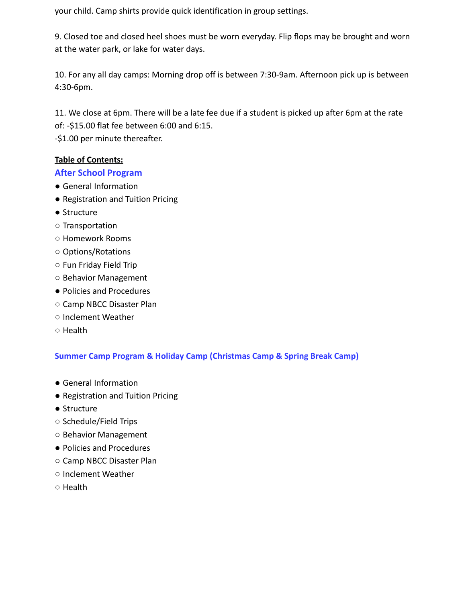your child. Camp shirts provide quick identification in group settings.

9. Closed toe and closed heel shoes must be worn everyday. Flip flops may be brought and worn at the water park, or lake for water days.

10. For any all day camps: Morning drop off is between 7:30-9am. Afternoon pick up is between 4:30-6pm.

11. We close at 6pm. There will be a late fee due if a student is picked up after 6pm at the rate of: -\$15.00 flat fee between 6:00 and 6:15.

-\$1.00 per minute thereafter.

#### **Table of Contents:**

#### **After School Program**

- General Information
- Registration and Tuition Pricing
- Structure
- Transportation
- Homework Rooms
- Options/Rotations
- Fun Friday Field Trip
- Behavior Management
- Policies and Procedures
- Camp NBCC Disaster Plan
- Inclement Weather
- Health

# **Summer Camp Program & Holiday Camp (Christmas Camp & Spring Break Camp)**

- General Information
- Registration and Tuition Pricing
- Structure
- Schedule/Field Trips
- Behavior Management
- Policies and Procedures
- Camp NBCC Disaster Plan
- Inclement Weather
- Health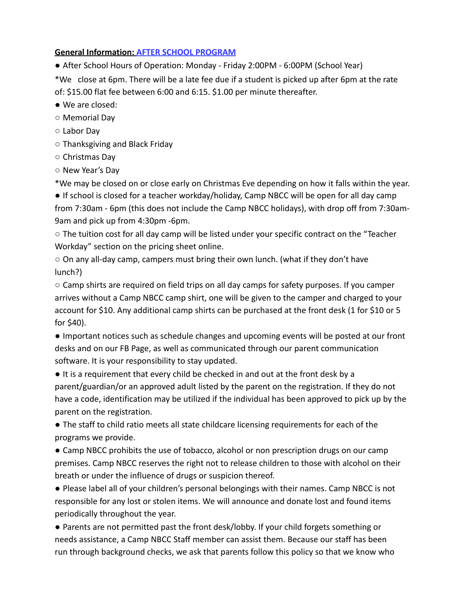#### **General Information: AFTER SCHOOL PROGRAM**

● After School Hours of Operation: Monday - Friday 2:00PM - 6:00PM (School Year)

\*We close at 6pm. There will be a late fee due if a student is picked up after 6pm at the rate of: \$15.00 flat fee between 6:00 and 6:15. \$1.00 per minute thereafter.

- We are closed:
- Memorial Day
- Labor Day
- Thanksgiving and Black Friday
- Christmas Day
- New Year's Day

\*We may be closed on or close early on Christmas Eve depending on how it falls within the year.

● If school is closed for a teacher workday/holiday, Camp NBCC will be open for all day camp from 7:30am - 6pm (this does not include the Camp NBCC holidays), with drop off from 7:30am-9am and pick up from 4:30pm -6pm.

○ The tuition cost for all day camp will be listed under your specific contract on the "Teacher Workday" section on the pricing sheet online.

○ On any all-day camp, campers must bring their own lunch. (what if they don't have lunch?)

 $\circ$  Camp shirts are required on field trips on all day camps for safety purposes. If you camper arrives without a Camp NBCC camp shirt, one will be given to the camper and charged to your account for \$10. Any additional camp shirts can be purchased at the front desk (1 for \$10 or 5 for \$40).

● Important notices such as schedule changes and upcoming events will be posted at our front desks and on our FB Page, as well as communicated through our parent communication software. It is your responsibility to stay updated.

● It is a requirement that every child be checked in and out at the front desk by a parent/guardian/or an approved adult listed by the parent on the registration. If they do not have a code, identification may be utilized if the individual has been approved to pick up by the parent on the registration.

● The staff to child ratio meets all state childcare licensing requirements for each of the programs we provide.

• Camp NBCC prohibits the use of tobacco, alcohol or non prescription drugs on our camp premises. Camp NBCC reserves the right not to release children to those with alcohol on their breath or under the influence of drugs or suspicion thereof.

● Please label all of your children's personal belongings with their names. Camp NBCC is not responsible for any lost or stolen items. We will announce and donate lost and found items periodically throughout the year.

● Parents are not permitted past the front desk/lobby. If your child forgets something or needs assistance, a Camp NBCC Staff member can assist them. Because our staff has been run through background checks, we ask that parents follow this policy so that we know who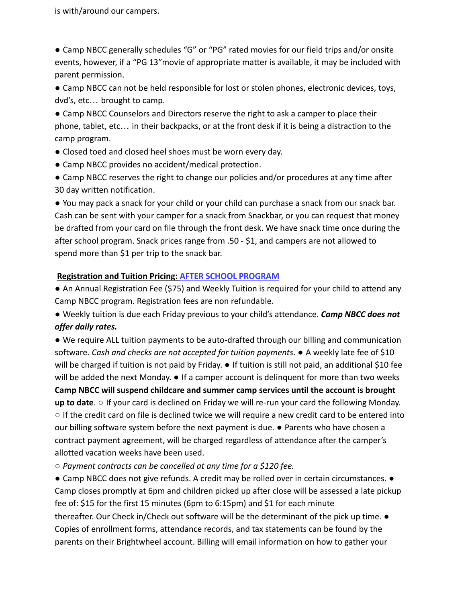is with/around our campers.

● Camp NBCC generally schedules "G" or "PG" rated movies for our field trips and/or onsite events, however, if a "PG 13"movie of appropriate matter is available, it may be included with parent permission.

● Camp NBCC can not be held responsible for lost or stolen phones, electronic devices, toys, dvd's, etc… brought to camp.

● Camp NBCC Counselors and Directors reserve the right to ask a camper to place their phone, tablet, etc… in their backpacks, or at the front desk if it is being a distraction to the camp program.

- Closed toed and closed heel shoes must be worn every day.
- Camp NBCC provides no accident/medical protection.
- Camp NBCC reserves the right to change our policies and/or procedures at any time after 30 day written notification.

● You may pack a snack for your child or your child can purchase a snack from our snack bar. Cash can be sent with your camper for a snack from Snackbar, or you can request that money be drafted from your card on file through the front desk. We have snack time once during the after school program. Snack prices range from .50 - \$1, and campers are not allowed to spend more than \$1 per trip to the snack bar.

#### **Registration and Tuition Pricing: AFTER SCHOOL PROGRAM**

● An Annual Registration Fee (\$75) and Weekly Tuition is required for your child to attend any Camp NBCC program. Registration fees are non refundable.

● Weekly tuition is due each Friday previous to your child's attendance. *Camp NBCC does not offer daily rates.*

*●* We require ALL tuition payments to be auto-drafted through our billing and communication software. *Cash and checks are not accepted for tuition payments*. ● A weekly late fee of \$10 will be charged if tuition is not paid by Friday. ● If tuition is still not paid, an additional \$10 fee will be added the next Monday. ● If a camper account is delinguent for more than two weeks **Camp NBCC will suspend childcare and summer camp services until the account is brought** up to date. ○ If your card is declined on Friday we will re-run your card the following Monday. ○ If the credit card on file is declined twice we will require a new credit card to be entered into our billing software system before the next payment is due. ● Parents who have chosen a contract payment agreement, will be charged regardless of attendance after the camper's allotted vacation weeks have been used.

○ *Payment contracts can be cancelled at any time for a \$120 fee.*

● Camp NBCC does not give refunds. A credit may be rolled over in certain circumstances. ● Camp closes promptly at 6pm and children picked up after close will be assessed a late pickup fee of: \$15 for the first 15 minutes (6pm to 6:15pm) and \$1 for each minute thereafter. Our Check in/Check out software will be the determinant of the pick up time. ● Copies of enrollment forms, attendance records, and tax statements can be found by the parents on their Brightwheel account. Billing will email information on how to gather your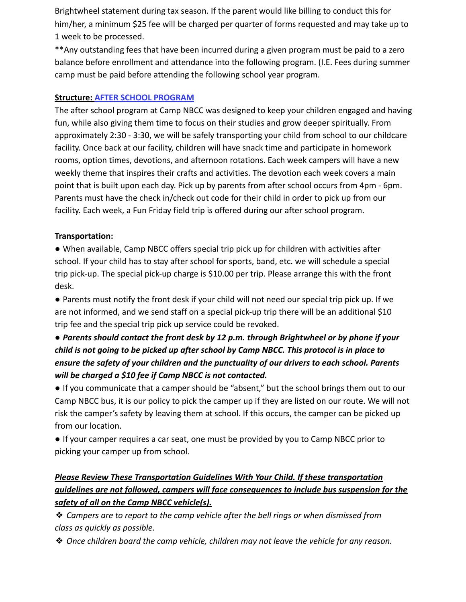Brightwheel statement during tax season. If the parent would like billing to conduct this for him/her, a minimum \$25 fee will be charged per quarter of forms requested and may take up to 1 week to be processed.

\*\*Any outstanding fees that have been incurred during a given program must be paid to a zero balance before enrollment and attendance into the following program. (I.E. Fees during summer camp must be paid before attending the following school year program.

#### **Structure: AFTER SCHOOL PROGRAM**

The after school program at Camp NBCC was designed to keep your children engaged and having fun, while also giving them time to focus on their studies and grow deeper spiritually. From approximately 2:30 - 3:30, we will be safely transporting your child from school to our childcare facility. Once back at our facility, children will have snack time and participate in homework rooms, option times, devotions, and afternoon rotations. Each week campers will have a new weekly theme that inspires their crafts and activities. The devotion each week covers a main point that is built upon each day. Pick up by parents from after school occurs from 4pm - 6pm. Parents must have the check in/check out code for their child in order to pick up from our facility. Each week, a Fun Friday field trip is offered during our after school program.

## **Transportation:**

● When available, Camp NBCC offers special trip pick up for children with activities after school. If your child has to stay after school for sports, band, etc. we will schedule a special trip pick-up. The special pick-up charge is \$10.00 per trip. Please arrange this with the front desk.

● Parents must notify the front desk if your child will not need our special trip pick up. If we are not informed, and we send staff on a special pick-up trip there will be an additional \$10 trip fee and the special trip pick up service could be revoked.

# *● Parents should contact the front desk by 12 p.m. through Brightwheel or by phone if your child is not going to be picked up after school by Camp NBCC. This protocol is in place to ensure the safety of your children and the punctuality of our drivers to each school. Parents will be charged a \$10 fee if Camp NBCC is not contacted.*

● If you communicate that a camper should be "absent," but the school brings them out to our Camp NBCC bus, it is our policy to pick the camper up if they are listed on our route. We will not risk the camper's safety by leaving them at school. If this occurs, the camper can be picked up from our location.

● If your camper requires a car seat, one must be provided by you to Camp NBCC prior to picking your camper up from school.

# *Please Review These Transportation Guidelines With Your Child. If these transportation guidelines are not followed, campers will face consequences to include bus suspension for the safety of all on the Camp NBCC vehicle(s).*

❖ *Campers are to report to the camp vehicle after the bell rings or when dismissed from class as quickly as possible.*

❖ *Once children board the camp vehicle, children may not leave the vehicle for any reason.*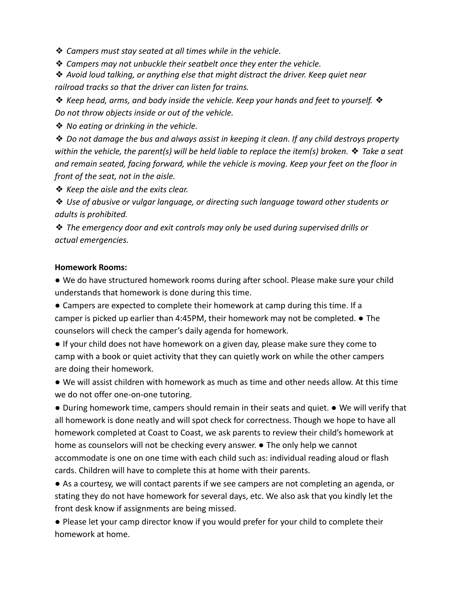❖ *Campers must stay seated at all times while in the vehicle.*

❖ *Campers may not unbuckle their seatbelt once they enter the vehicle.*

❖ *Avoid loud talking, or anything else that might distract the driver. Keep quiet near railroad tracks so that the driver can listen for trains.*

❖ *Keep head, arms, and body inside the vehicle. Keep your hands and feet to yourself.* ❖ *Do not throw objects inside or out of the vehicle.*

❖ *No eating or drinking in the vehicle.*

❖ *Do not damage the bus and always assist in keeping it clean. If any child destroys property within the vehicle, the parent(s) will be held liable to replace the item(s) broken.* ❖ *Take a seat and remain seated, facing forward, while the vehicle is moving. Keep your feet on the floor in front of the seat, not in the aisle.*

❖ *Keep the aisle and the exits clear.*

❖ *Use of abusive or vulgar language, or directing such language toward other students or adults is prohibited.*

❖ *The emergency door and exit controls may only be used during supervised drills or actual emergencies.*

#### **Homework Rooms:**

● We do have structured homework rooms during after school. Please make sure your child understands that homework is done during this time.

● Campers are expected to complete their homework at camp during this time. If a camper is picked up earlier than 4:45PM, their homework may not be completed.  $\bullet$  The counselors will check the camper's daily agenda for homework.

● If your child does not have homework on a given day, please make sure they come to camp with a book or quiet activity that they can quietly work on while the other campers are doing their homework.

● We will assist children with homework as much as time and other needs allow. At this time we do not offer one-on-one tutoring.

● During homework time, campers should remain in their seats and quiet. ● We will verify that all homework is done neatly and will spot check for correctness. Though we hope to have all homework completed at Coast to Coast, we ask parents to review their child's homework at home as counselors will not be checking every answer. ● The only help we cannot accommodate is one on one time with each child such as: individual reading aloud or flash cards. Children will have to complete this at home with their parents.

● As a courtesy, we will contact parents if we see campers are not completing an agenda, or stating they do not have homework for several days, etc. We also ask that you kindly let the front desk know if assignments are being missed.

● Please let your camp director know if you would prefer for your child to complete their homework at home.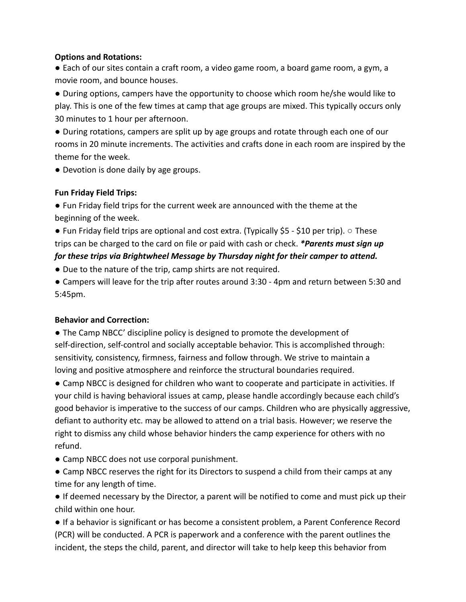#### **Options and Rotations:**

● Each of our sites contain a craft room, a video game room, a board game room, a gym, a movie room, and bounce houses.

● During options, campers have the opportunity to choose which room he/she would like to play. This is one of the few times at camp that age groups are mixed. This typically occurs only 30 minutes to 1 hour per afternoon.

● During rotations, campers are split up by age groups and rotate through each one of our rooms in 20 minute increments. The activities and crafts done in each room are inspired by the theme for the week.

● Devotion is done daily by age groups.

## **Fun Friday Field Trips:**

● Fun Friday field trips for the current week are announced with the theme at the beginning of the week.

 $\bullet$  Fun Friday field trips are optional and cost extra. (Typically \$5 - \$10 per trip).  $\circ$  These trips can be charged to the card on file or paid with cash or check. *\*Parents must sign up*

# *for these trips via Brightwheel Message by Thursday night for their camper to attend.*

- Due to the nature of the trip, camp shirts are not required.
- Campers will leave for the trip after routes around 3:30 4pm and return between 5:30 and 5:45pm.

# **Behavior and Correction:**

● The Camp NBCC' discipline policy is designed to promote the development of self-direction, self-control and socially acceptable behavior. This is accomplished through: sensitivity, consistency, firmness, fairness and follow through. We strive to maintain a loving and positive atmosphere and reinforce the structural boundaries required.

● Camp NBCC is designed for children who want to cooperate and participate in activities. If your child is having behavioral issues at camp, please handle accordingly because each child's good behavior is imperative to the success of our camps. Children who are physically aggressive, defiant to authority etc. may be allowed to attend on a trial basis. However; we reserve the right to dismiss any child whose behavior hinders the camp experience for others with no refund.

- Camp NBCC does not use corporal punishment.
- Camp NBCC reserves the right for its Directors to suspend a child from their camps at any time for any length of time.

● If deemed necessary by the Director, a parent will be notified to come and must pick up their child within one hour.

● If a behavior is significant or has become a consistent problem, a Parent Conference Record (PCR) will be conducted. A PCR is paperwork and a conference with the parent outlines the incident, the steps the child, parent, and director will take to help keep this behavior from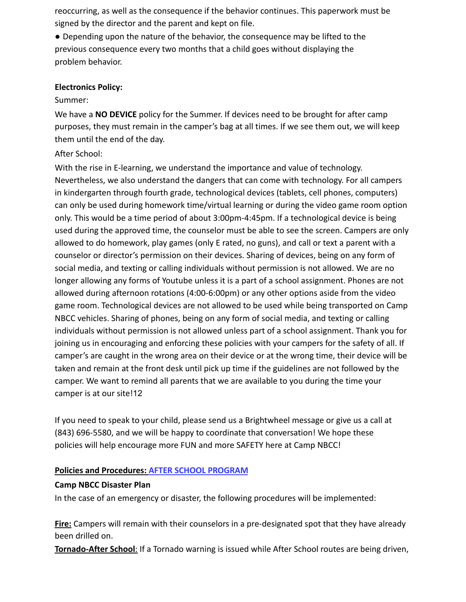reoccurring, as well as the consequence if the behavior continues. This paperwork must be signed by the director and the parent and kept on file.

● Depending upon the nature of the behavior, the consequence may be lifted to the previous consequence every two months that a child goes without displaying the problem behavior.

#### **Electronics Policy:**

#### Summer:

We have a **NO DEVICE** policy for the Summer. If devices need to be brought for after camp purposes, they must remain in the camper's bag at all times. If we see them out, we will keep them until the end of the day.

#### After School:

With the rise in E-learning, we understand the importance and value of technology. Nevertheless, we also understand the dangers that can come with technology. For all campers in kindergarten through fourth grade, technological devices (tablets, cell phones, computers) can only be used during homework time/virtual learning or during the video game room option only. This would be a time period of about 3:00pm-4:45pm. If a technological device is being used during the approved time, the counselor must be able to see the screen. Campers are only allowed to do homework, play games (only E rated, no guns), and call or text a parent with a counselor or director's permission on their devices. Sharing of devices, being on any form of social media, and texting or calling individuals without permission is not allowed. We are no longer allowing any forms of Youtube unless it is a part of a school assignment. Phones are not allowed during afternoon rotations (4:00-6:00pm) or any other options aside from the video game room. Technological devices are not allowed to be used while being transported on Camp NBCC vehicles. Sharing of phones, being on any form of social media, and texting or calling individuals without permission is not allowed unless part of a school assignment. Thank you for joining us in encouraging and enforcing these policies with your campers for the safety of all. If camper's are caught in the wrong area on their device or at the wrong time, their device will be taken and remain at the front desk until pick up time if the guidelines are not followed by the camper. We want to remind all parents that we are available to you during the time your camper is at our site!12

If you need to speak to your child, please send us a Brightwheel message or give us a call at (843) 696-5580, and we will be happy to coordinate that conversation! We hope these policies will help encourage more FUN and more SAFETY here at Camp NBCC!

#### **Policies and Procedures: AFTER SCHOOL PROGRAM**

#### **Camp NBCC Disaster Plan**

In the case of an emergency or disaster, the following procedures will be implemented:

**Fire:** Campers will remain with their counselors in a pre-designated spot that they have already been drilled on.

**Tornado-After School**: If a Tornado warning is issued while After School routes are being driven,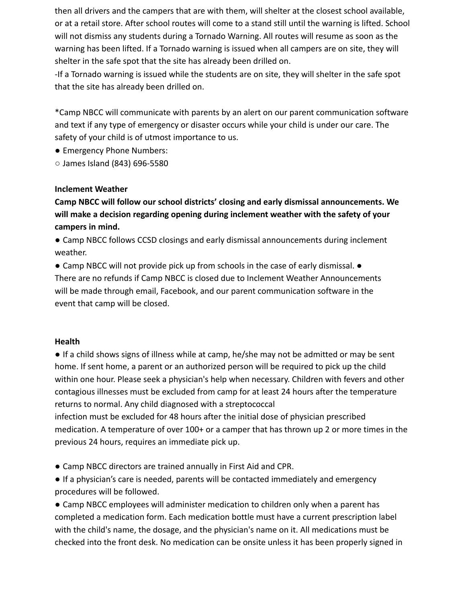then all drivers and the campers that are with them, will shelter at the closest school available, or at a retail store. After school routes will come to a stand still until the warning is lifted. School will not dismiss any students during a Tornado Warning. All routes will resume as soon as the warning has been lifted. If a Tornado warning is issued when all campers are on site, they will shelter in the safe spot that the site has already been drilled on.

-If a Tornado warning is issued while the students are on site, they will shelter in the safe spot that the site has already been drilled on.

\*Camp NBCC will communicate with parents by an alert on our parent communication software and text if any type of emergency or disaster occurs while your child is under our care. The safety of your child is of utmost importance to us.

● Emergency Phone Numbers:

○ James Island (843) 696-5580

#### **Inclement Weather**

**Camp NBCC will follow our school districts' closing and early dismissal announcements. We will make a decision regarding opening during inclement weather with the safety of your campers in mind.**

● Camp NBCC follows CCSD closings and early dismissal announcements during inclement weather.

● Camp NBCC will not provide pick up from schools in the case of early dismissal. ● There are no refunds if Camp NBCC is closed due to Inclement Weather Announcements will be made through email, Facebook, and our parent communication software in the event that camp will be closed.

#### **Health**

● If a child shows signs of illness while at camp, he/she may not be admitted or may be sent home. If sent home, a parent or an authorized person will be required to pick up the child within one hour. Please seek a physician's help when necessary. Children with fevers and other contagious illnesses must be excluded from camp for at least 24 hours after the temperature returns to normal. Any child diagnosed with a streptococcal

infection must be excluded for 48 hours after the initial dose of physician prescribed medication. A temperature of over 100+ or a camper that has thrown up 2 or more times in the previous 24 hours, requires an immediate pick up.

- Camp NBCC directors are trained annually in First Aid and CPR.
- If a physician's care is needed, parents will be contacted immediately and emergency procedures will be followed.

● Camp NBCC employees will administer medication to children only when a parent has completed a medication form. Each medication bottle must have a current prescription label with the child's name, the dosage, and the physician's name on it. All medications must be checked into the front desk. No medication can be onsite unless it has been properly signed in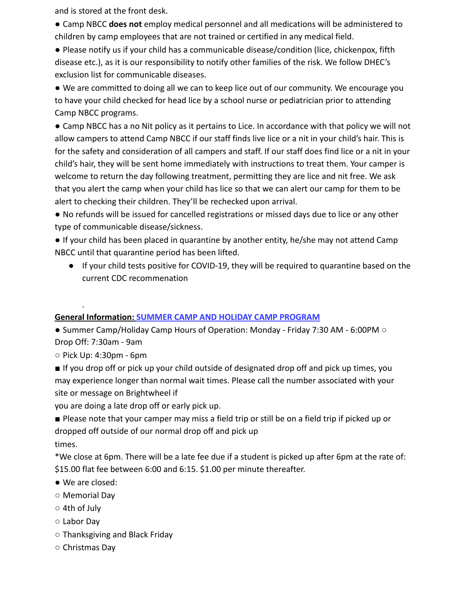and is stored at the front desk.

● Camp NBCC **does not** employ medical personnel and all medications will be administered to children by camp employees that are not trained or certified in any medical field.

● Please notify us if your child has a communicable disease/condition (lice, chickenpox, fifth disease etc.), as it is our responsibility to notify other families of the risk. We follow DHEC's exclusion list for communicable diseases.

● We are committed to doing all we can to keep lice out of our community. We encourage you to have your child checked for head lice by a school nurse or pediatrician prior to attending Camp NBCC programs.

● Camp NBCC has a no Nit policy as it pertains to Lice. In accordance with that policy we will not allow campers to attend Camp NBCC if our staff finds live lice or a nit in your child's hair. This is for the safety and consideration of all campers and staff. If our staff does find lice or a nit in your child's hair, they will be sent home immediately with instructions to treat them. Your camper is welcome to return the day following treatment, permitting they are lice and nit free. We ask that you alert the camp when your child has lice so that we can alert our camp for them to be alert to checking their children. They'll be rechecked upon arrival.

● No refunds will be issued for cancelled registrations or missed days due to lice or any other type of communicable disease/sickness.

● If your child has been placed in quarantine by another entity, he/she may not attend Camp NBCC until that quarantine period has been lifted.

● If your child tests positive for COVID-19, they will be required to quarantine based on the current CDC recommenation

# **General Information: SUMMER CAMP AND HOLIDAY CAMP PROGRAM**

● Summer Camp/Holiday Camp Hours of Operation: Monday - Friday 7:30 AM - 6:00PM ○ Drop Off: 7:30am - 9am

○ Pick Up: 4:30pm - 6pm

.

■ If you drop off or pick up your child outside of designated drop off and pick up times, you may experience longer than normal wait times. Please call the number associated with your site or message on Brightwheel if

you are doing a late drop off or early pick up.

■ Please note that your camper may miss a field trip or still be on a field trip if picked up or dropped off outside of our normal drop off and pick up times.

\*We close at 6pm. There will be a late fee due if a student is picked up after 6pm at the rate of: \$15.00 flat fee between 6:00 and 6:15. \$1.00 per minute thereafter.

- We are closed:
- Memorial Day
- 4th of July
- Labor Day
- Thanksgiving and Black Friday
- Christmas Day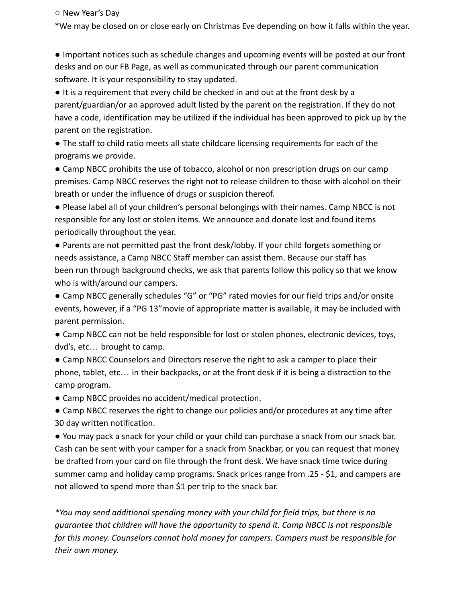○ New Year's Day

\*We may be closed on or close early on Christmas Eve depending on how it falls within the year.

● Important notices such as schedule changes and upcoming events will be posted at our front desks and on our FB Page, as well as communicated through our parent communication software. It is your responsibility to stay updated.

● It is a requirement that every child be checked in and out at the front desk by a parent/guardian/or an approved adult listed by the parent on the registration. If they do not have a code, identification may be utilized if the individual has been approved to pick up by the parent on the registration.

● The staff to child ratio meets all state childcare licensing requirements for each of the programs we provide.

• Camp NBCC prohibits the use of tobacco, alcohol or non prescription drugs on our camp premises. Camp NBCC reserves the right not to release children to those with alcohol on their breath or under the influence of drugs or suspicion thereof.

● Please label all of your children's personal belongings with their names. Camp NBCC is not responsible for any lost or stolen items. We announce and donate lost and found items periodically throughout the year.

● Parents are not permitted past the front desk/lobby. If your child forgets something or needs assistance, a Camp NBCC Staff member can assist them. Because our staff has been run through background checks, we ask that parents follow this policy so that we know who is with/around our campers.

● Camp NBCC generally schedules "G" or "PG" rated movies for our field trips and/or onsite events, however, if a "PG 13"movie of appropriate matter is available, it may be included with parent permission.

● Camp NBCC can not be held responsible for lost or stolen phones, electronic devices, toys, dvd's, etc… brought to camp.

• Camp NBCC Counselors and Directors reserve the right to ask a camper to place their phone, tablet, etc… in their backpacks, or at the front desk if it is being a distraction to the camp program.

● Camp NBCC provides no accident/medical protection.

• Camp NBCC reserves the right to change our policies and/or procedures at any time after 30 day written notification.

● You may pack a snack for your child or your child can purchase a snack from our snack bar. Cash can be sent with your camper for a snack from Snackbar, or you can request that money be drafted from your card on file through the front desk. We have snack time twice during summer camp and holiday camp programs. Snack prices range from .25 - \$1, and campers are not allowed to spend more than \$1 per trip to the snack bar.

*\*You may send additional spending money with your child for field trips, but there is no guarantee that children will have the opportunity to spend it. Camp NBCC is not responsible for this money. Counselors cannot hold money for campers. Campers must be responsible for their own money.*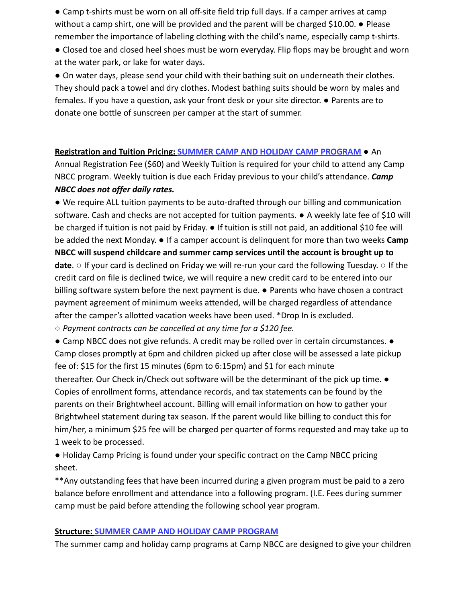● Camp t-shirts must be worn on all off-site field trip full days. If a camper arrives at camp without a camp shirt, one will be provided and the parent will be charged \$10.00. ● Please remember the importance of labeling clothing with the child's name, especially camp t-shirts.

• Closed toe and closed heel shoes must be worn everyday. Flip flops may be brought and worn at the water park, or lake for water days.

● On water days, please send your child with their bathing suit on underneath their clothes. They should pack a towel and dry clothes. Modest bathing suits should be worn by males and females. If you have a question, ask your front desk or your site director. ● Parents are to donate one bottle of sunscreen per camper at the start of summer.

#### **Registration and Tuition Pricing: SUMMER CAMP AND HOLIDAY CAMP PROGRAM** ● An

Annual Registration Fee (\$60) and Weekly Tuition is required for your child to attend any Camp NBCC program. Weekly tuition is due each Friday previous to your child's attendance. *Camp NBCC does not offer daily rates.*

*●* We require ALL tuition payments to be auto-drafted through our billing and communication software. Cash and checks are not accepted for tuition payments. ● A weekly late fee of \$10 will be charged if tuition is not paid by Friday. ● If tuition is still not paid, an additional \$10 fee will be added the next Monday. ● If a camper account is delinquent for more than two weeks **Camp NBCC will suspend childcare and summer camp services until the account is brought up to date**. ○ If your card is declined on Friday we will re-run your card the following Tuesday. ○ If the credit card on file is declined twice, we will require a new credit card to be entered into our billing software system before the next payment is due. ● Parents who have chosen a contract payment agreement of minimum weeks attended, will be charged regardless of attendance after the camper's allotted vacation weeks have been used. \*Drop In is excluded.

○ *Payment contracts can be cancelled at any time for a \$120 fee.*

● Camp NBCC does not give refunds. A credit may be rolled over in certain circumstances. ● Camp closes promptly at 6pm and children picked up after close will be assessed a late pickup fee of: \$15 for the first 15 minutes (6pm to 6:15pm) and \$1 for each minute thereafter. Our Check in/Check out software will be the determinant of the pick up time. ● Copies of enrollment forms, attendance records, and tax statements can be found by the parents on their Brightwheel account. Billing will email information on how to gather your Brightwheel statement during tax season. If the parent would like billing to conduct this for him/her, a minimum \$25 fee will be charged per quarter of forms requested and may take up to 1 week to be processed.

● Holiday Camp Pricing is found under your specific contract on the Camp NBCC pricing sheet.

\*\*Any outstanding fees that have been incurred during a given program must be paid to a zero balance before enrollment and attendance into a following program. (I.E. Fees during summer camp must be paid before attending the following school year program.

#### **Structure: SUMMER CAMP AND HOLIDAY CAMP PROGRAM**

The summer camp and holiday camp programs at Camp NBCC are designed to give your children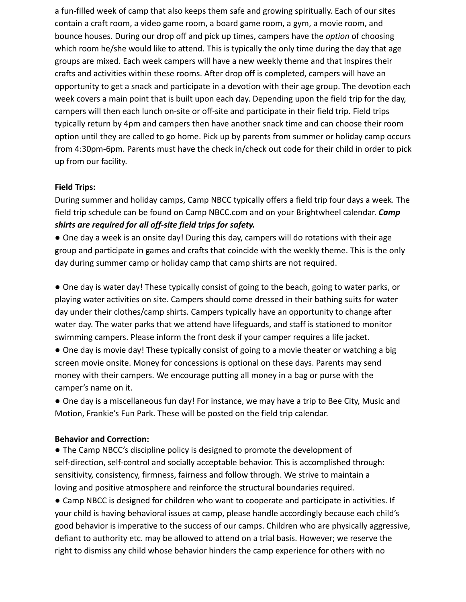a fun-filled week of camp that also keeps them safe and growing spiritually. Each of our sites contain a craft room, a video game room, a board game room, a gym, a movie room, and bounce houses. During our drop off and pick up times, campers have the *option* of choosing which room he/she would like to attend. This is typically the only time during the day that age groups are mixed. Each week campers will have a new weekly theme and that inspires their crafts and activities within these rooms. After drop off is completed, campers will have an opportunity to get a snack and participate in a devotion with their age group. The devotion each week covers a main point that is built upon each day. Depending upon the field trip for the day, campers will then each lunch on-site or off-site and participate in their field trip. Field trips typically return by 4pm and campers then have another snack time and can choose their room option until they are called to go home. Pick up by parents from summer or holiday camp occurs from 4:30pm-6pm. Parents must have the check in/check out code for their child in order to pick up from our facility.

#### **Field Trips:**

During summer and holiday camps, Camp NBCC typically offers a field trip four days a week. The field trip schedule can be found on Camp NBCC.com and on your Brightwheel calendar. *Camp shirts are required for all off-site field trips for safety.*

● One day a week is an onsite day! During this day, campers will do rotations with their age group and participate in games and crafts that coincide with the weekly theme. This is the only day during summer camp or holiday camp that camp shirts are not required.

● One day is water day! These typically consist of going to the beach, going to water parks, or playing water activities on site. Campers should come dressed in their bathing suits for water day under their clothes/camp shirts. Campers typically have an opportunity to change after water day. The water parks that we attend have lifeguards, and staff is stationed to monitor swimming campers. Please inform the front desk if your camper requires a life jacket.

• One day is movie day! These typically consist of going to a movie theater or watching a big screen movie onsite. Money for concessions is optional on these days. Parents may send money with their campers. We encourage putting all money in a bag or purse with the camper's name on it.

● One day is a miscellaneous fun day! For instance, we may have a trip to Bee City, Music and Motion, Frankie's Fun Park. These will be posted on the field trip calendar.

#### **Behavior and Correction:**

● The Camp NBCC's discipline policy is designed to promote the development of self-direction, self-control and socially acceptable behavior. This is accomplished through: sensitivity, consistency, firmness, fairness and follow through. We strive to maintain a loving and positive atmosphere and reinforce the structural boundaries required.

● Camp NBCC is designed for children who want to cooperate and participate in activities. If your child is having behavioral issues at camp, please handle accordingly because each child's good behavior is imperative to the success of our camps. Children who are physically aggressive, defiant to authority etc. may be allowed to attend on a trial basis. However; we reserve the right to dismiss any child whose behavior hinders the camp experience for others with no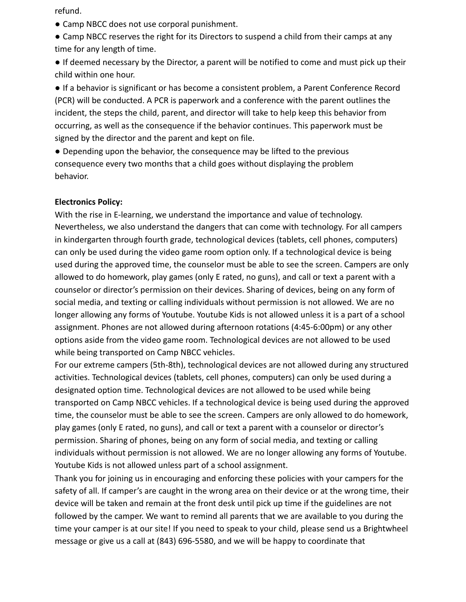refund.

● Camp NBCC does not use corporal punishment.

● Camp NBCC reserves the right for its Directors to suspend a child from their camps at any time for any length of time.

● If deemed necessary by the Director, a parent will be notified to come and must pick up their child within one hour.

● If a behavior is significant or has become a consistent problem, a Parent Conference Record (PCR) will be conducted. A PCR is paperwork and a conference with the parent outlines the incident, the steps the child, parent, and director will take to help keep this behavior from occurring, as well as the consequence if the behavior continues. This paperwork must be signed by the director and the parent and kept on file.

● Depending upon the behavior, the consequence may be lifted to the previous consequence every two months that a child goes without displaying the problem behavior.

#### **Electronics Policy:**

With the rise in E-learning, we understand the importance and value of technology. Nevertheless, we also understand the dangers that can come with technology. For all campers in kindergarten through fourth grade, technological devices (tablets, cell phones, computers) can only be used during the video game room option only. If a technological device is being used during the approved time, the counselor must be able to see the screen. Campers are only allowed to do homework, play games (only E rated, no guns), and call or text a parent with a counselor or director's permission on their devices. Sharing of devices, being on any form of social media, and texting or calling individuals without permission is not allowed. We are no longer allowing any forms of Youtube. Youtube Kids is not allowed unless it is a part of a school assignment. Phones are not allowed during afternoon rotations (4:45-6:00pm) or any other options aside from the video game room. Technological devices are not allowed to be used while being transported on Camp NBCC vehicles.

For our extreme campers (5th-8th), technological devices are not allowed during any structured activities. Technological devices (tablets, cell phones, computers) can only be used during a designated option time. Technological devices are not allowed to be used while being transported on Camp NBCC vehicles. If a technological device is being used during the approved time, the counselor must be able to see the screen. Campers are only allowed to do homework, play games (only E rated, no guns), and call or text a parent with a counselor or director's permission. Sharing of phones, being on any form of social media, and texting or calling individuals without permission is not allowed. We are no longer allowing any forms of Youtube. Youtube Kids is not allowed unless part of a school assignment.

Thank you for joining us in encouraging and enforcing these policies with your campers for the safety of all. If camper's are caught in the wrong area on their device or at the wrong time, their device will be taken and remain at the front desk until pick up time if the guidelines are not followed by the camper. We want to remind all parents that we are available to you during the time your camper is at our site! If you need to speak to your child, please send us a Brightwheel message or give us a call at (843) 696-5580, and we will be happy to coordinate that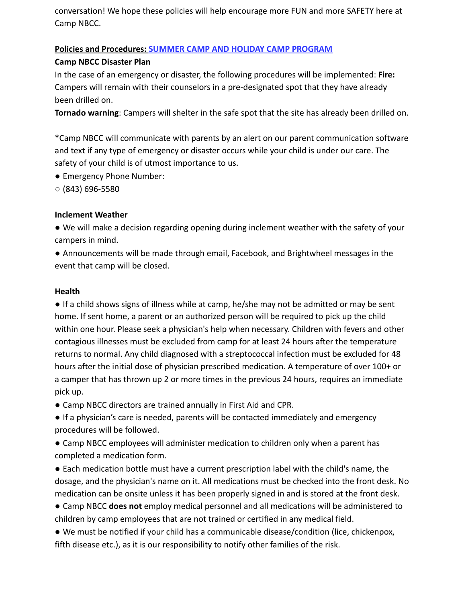conversation! We hope these policies will help encourage more FUN and more SAFETY here at Camp NBCC.

#### **Policies and Procedures: SUMMER CAMP AND HOLIDAY CAMP PROGRAM**

#### **Camp NBCC Disaster Plan**

In the case of an emergency or disaster, the following procedures will be implemented: **Fire:** Campers will remain with their counselors in a pre-designated spot that they have already been drilled on.

**Tornado warning**: Campers will shelter in the safe spot that the site has already been drilled on.

\*Camp NBCC will communicate with parents by an alert on our parent communication software and text if any type of emergency or disaster occurs while your child is under our care. The safety of your child is of utmost importance to us.

- Emergency Phone Number:
- $\circ$  (843) 696-5580

#### **Inclement Weather**

● We will make a decision regarding opening during inclement weather with the safety of your campers in mind.

● Announcements will be made through email, Facebook, and Brightwheel messages in the event that camp will be closed.

#### **Health**

● If a child shows signs of illness while at camp, he/she may not be admitted or may be sent home. If sent home, a parent or an authorized person will be required to pick up the child within one hour. Please seek a physician's help when necessary. Children with fevers and other contagious illnesses must be excluded from camp for at least 24 hours after the temperature returns to normal. Any child diagnosed with a streptococcal infection must be excluded for 48 hours after the initial dose of physician prescribed medication. A temperature of over 100+ or a camper that has thrown up 2 or more times in the previous 24 hours, requires an immediate pick up.

● Camp NBCC directors are trained annually in First Aid and CPR.

● If a physician's care is needed, parents will be contacted immediately and emergency procedures will be followed.

● Camp NBCC employees will administer medication to children only when a parent has completed a medication form.

● Each medication bottle must have a current prescription label with the child's name, the dosage, and the physician's name on it. All medications must be checked into the front desk. No medication can be onsite unless it has been properly signed in and is stored at the front desk.

● Camp NBCC **does not** employ medical personnel and all medications will be administered to children by camp employees that are not trained or certified in any medical field.

● We must be notified if your child has a communicable disease/condition (lice, chickenpox, fifth disease etc.), as it is our responsibility to notify other families of the risk.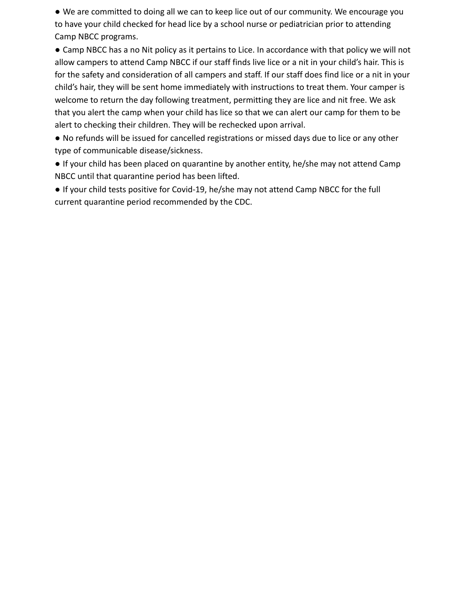● We are committed to doing all we can to keep lice out of our community. We encourage you to have your child checked for head lice by a school nurse or pediatrician prior to attending Camp NBCC programs.

● Camp NBCC has a no Nit policy as it pertains to Lice. In accordance with that policy we will not allow campers to attend Camp NBCC if our staff finds live lice or a nit in your child's hair. This is for the safety and consideration of all campers and staff. If our staff does find lice or a nit in your child's hair, they will be sent home immediately with instructions to treat them. Your camper is welcome to return the day following treatment, permitting they are lice and nit free. We ask that you alert the camp when your child has lice so that we can alert our camp for them to be alert to checking their children. They will be rechecked upon arrival.

● No refunds will be issued for cancelled registrations or missed days due to lice or any other type of communicable disease/sickness.

● If your child has been placed on quarantine by another entity, he/she may not attend Camp NBCC until that quarantine period has been lifted.

● If your child tests positive for Covid-19, he/she may not attend Camp NBCC for the full current quarantine period recommended by the CDC.